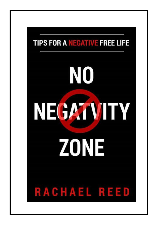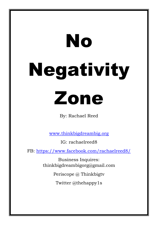# No Negativity



By: Rachael Reed

[www.thinkbigdreambig.org](http://www.thinkbigdreambig.org/)

IG: rachaelreed8

FB:<https://www.facebook.com/rachaelreed8/>

Business Inquires: thinkbigdreambigorg@gmail.com

Periscope @ Thinkbigtv

Twitter @thehappy1s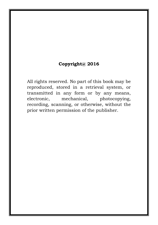# **Copyright@ 2016**

All rights reserved. No part of this book may be reproduced, stored in a retrieval system, or transmitted in any form or by any means, electronic, mechanical, photocopying, recording, scanning, or otherwise, without the prior written permission of the publisher.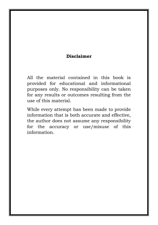# **Disclaimer**

All the material contained in this book is provided for educational and informational purposes only. No responsibility can be taken for any results or outcomes resulting from the use of this material.

While every attempt has been made to provide information that is both accurate and effective, the author does not assume any responsibility for the accuracy or use/misuse of this information.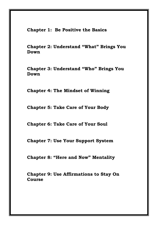**Chapter 1: Be Positive the Basics** 

**Chapter 2: Understand "What" Brings You Down** 

**Chapter 3: Understand "Who" Brings You Down** 

**Chapter 4: The Mindset of Winning** 

**Chapter 5: Take Care of Your Body** 

**Chapter 6: Take Care of Your Soul** 

**Chapter 7: Use Your Support System** 

**Chapter 8: "Here and Now" Mentality** 

**Chapter 9: Use Affirmations to Stay On Course**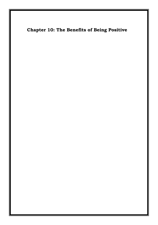# **Chapter 10: The Benefits of Being Positive**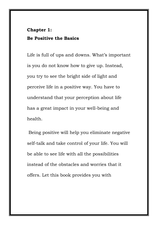#### **Chapter 1:**

#### **Be Positive the Basics**

Life is full of ups and downs. What's important is you do not know how to give up. Instead, you try to see the bright side of light and perceive life in a positive way. You have to understand that your perception about life has a great impact in your well-being and health.

Being positive will help you eliminate negative self-talk and take control of your life. You will be able to see life with all the possibilities instead of the obstacles and worries that it offers. Let this book provides you with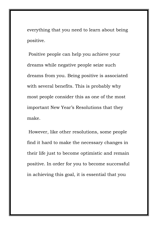everything that you need to learn about being positive.

Positive people can help you achieve your dreams while negative people seize such dreams from you. Being positive is associated with several benefits. This is probably why most people consider this as one of the most important New Year's Resolutions that they make.

However, like other resolutions, some people find it hard to make the necessary changes in their life just to become optimistic and remain positive. In order for you to become successful in achieving this goal, it is essential that you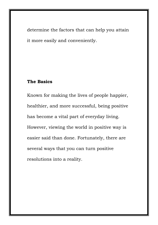determine the factors that can help you attain it more easily and conveniently.

# **The Basics**

Known for making the lives of people happier, healthier, and more successful, being positive has become a vital part of everyday living. However, viewing the world in positive way is easier said than done. Fortunately, there are several ways that you can turn positive resolutions into a reality.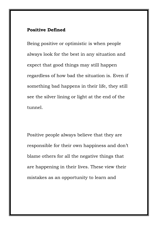#### **Positive Defined**

Being positive or optimistic is when people always look for the best in any situation and expect that good things may still happen regardless of how bad the situation is. Even if something bad happens in their life, they still see the silver lining or light at the end of the tunnel.

Positive people always believe that they are responsible for their own happiness and don't blame others for all the negative things that are happening in their lives. These view their mistakes as an opportunity to learn and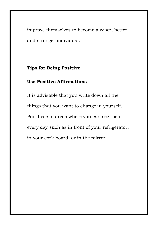improve themselves to become a wiser, better, and stronger individual.

# **Tips for Being Positive**

# **Use Positive Affirmations**

It is advisable that you write down all the things that you want to change in yourself. Put these in areas where you can see them every day such as in front of your refrigerator, in your cork board, or in the mirror.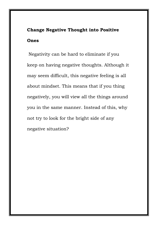# **Change Negative Thought into Positive Ones**

Negativity can be hard to eliminate if you keep on having negative thoughts. Although it may seem difficult, this negative feeling is all about mindset. This means that if you thing negatively, you will view all the things around you in the same manner. Instead of this, why not try to look for the bright side of any negative situation?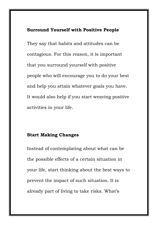#### **Surround Yourself with Positive People**

They say that habits and attitudes can be contagious. For this reason, it is important that you surround yourself with positive people who will encourage you to do your best and help you attain whatever goals you have. It would also help if you start weaving positive activities in your life.

#### **Start Making Changes**

Instead of contemplating about what can be the possible effects of a certain situation in your life, start thinking about the best ways to prevent the impact of such situation. It is already part of living to take risks. What's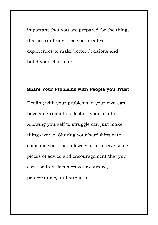important that you are prepared for the things that in can bring. Use you negative experiences to make better decisions and build your character.

## **Share Your Problems with People you Trust**

Dealing with your problems in your own can have a detrimental effect on your health. Allowing yourself to struggle can just make things worse. Sharing your hardships with someone you trust allows you to receive some pieces of advice and encouragement that you can use to re-focus on your courage, perseverance, and strength.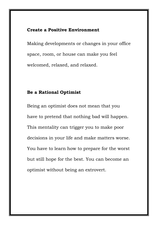#### **Create a Positive Environment**

Making developments or changes in your office space, room, or house can make you feel welcomed, relaxed, and relaxed.

# **Be a Rational Optimist**

Being an optimist does not mean that you have to pretend that nothing bad will happen. This mentality can trigger you to make poor decisions in your life and make matters worse. You have to learn how to prepare for the worst but still hope for the best. You can become an optimist without being an extrovert.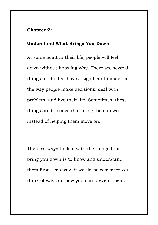# **Chapter 2:**

# **Understand What Brings You Down**

At some point in their life, people will feel down without knowing why. There are several things in life that have a significant impact on the way people make decisions, deal with problem, and live their life. Sometimes, these things are the ones that bring them down instead of helping them move on.

The best ways to deal with the things that bring you down is to know and understand them first. This way, it would be easier for you think of ways on how you can prevent them.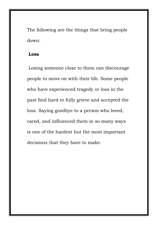The following are the things that bring people down:

#### **Loss**

Losing someone close to them can discourage people to move on with their life. Some people who have experienced tragedy or loss in the past find hard to fully grieve and accepted the loss. Saying goodbye to a person who loved, cared, and influenced them in so many ways is one of the hardest but the most important decisions that they have to make.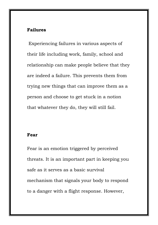#### **Failures**

Experiencing failures in various aspects of their life including work, family, school and relationship can make people believe that they are indeed a failure. This prevents them from trying new things that can improve them as a person and choose to get stuck in a notion that whatever they do, they will still fail.

#### **Fear**

Fear is an emotion triggered by perceived threats. It is an important part in keeping you safe as it serves as a basic survival mechanism that signals your body to respond to a danger with a flight response. However,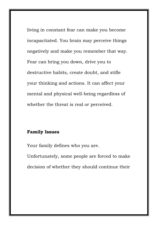living in constant fear can make you become incapacitated. You brain may perceive things negatively and make you remember that way. Fear can bring you down, drive you to destructive habits, create doubt, and stifle your thinking and actions. It can affect your mental and physical well-being regardless of whether the threat is real or perceived.

#### **Family Issues**

Your family defines who you are. Unfortunately, some people are forced to make decision of whether they should continue their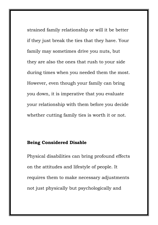strained family relationship or will it be better if they just break the ties that they have. Your family may sometimes drive you nuts, but they are also the ones that rush to your side during times when you needed them the most. However, even though your family can bring you down, it is imperative that you evaluate your relationship with them before you decide whether cutting family ties is worth it or not.

#### **Being Considered Disable**

Physical disabilities can bring profound effects on the attitudes and lifestyle of people. It requires them to make necessary adjustments not just physically but psychologically and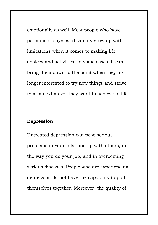emotionally as well. Most people who have permanent physical disability grow up with limitations when it comes to making life choices and activities. In some cases, it can bring them down to the point when they no longer interested to try new things and strive to attain whatever they want to achieve in life.

## **Depression**

Untreated depression can pose serious problems in your relationship with others, in the way you do your job, and in overcoming serious diseases. People who are experiencing depression do not have the capability to pull themselves together. Moreover, the quality of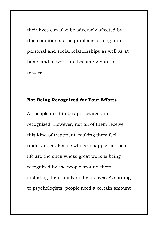their lives can also be adversely affected by this condition as the problems arising from personal and social relationships as well as at home and at work are becoming hard to resolve.

#### **Not Being Recognized for Your Efforts**

All people need to be appreciated and recognized. However, not all of them receive this kind of treatment, making them feel undervalued. People who are happier in their life are the ones whose great work is being recognized by the people around them including their family and employer. According to psychologists, people need a certain amount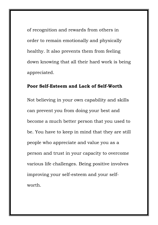of recognition and rewards from others in order to remain emotionally and physically healthy. It also prevents them from feeling down knowing that all their hard work is being appreciated.

#### **Poor Self-Esteem and Lack of Self-Worth**

Not believing in your own capability and skills can prevent you from doing your best and become a much better person that you used to be. You have to keep in mind that they are still people who appreciate and value you as a person and trust in your capacity to overcome various life challenges. Being positive involves improving your self-esteem and your selfworth.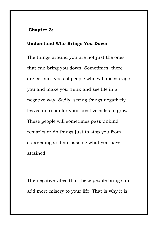# **Chapter 3:**

# **Understand Who Brings You Down**

The things around you are not just the ones that can bring you down. Sometimes, there are certain types of people who will discourage you and make you think and see life in a negative way. Sadly, seeing things negatively leaves no room for your positive sides to grow. These people will sometimes pass unkind remarks or do things just to stop you from succeeding and surpassing what you have attained.

The negative vibes that these people bring can add more misery to your life. That is why it is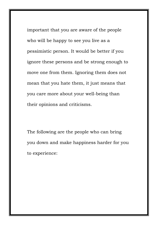important that you are aware of the people who will be happy to see you live as a pessimistic person. It would be better if you ignore these persons and be strong enough to move one from them. Ignoring them does not mean that you hate them, it just means that you care more about your well-being than their opinions and criticisms.

The following are the people who can bring you down and make happiness harder for you to experience: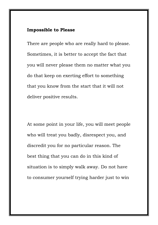#### **Impossible to Please**

There are people who are really hard to please. Sometimes, it is better to accept the fact that you will never please them no matter what you do that keep on exerting effort to something that you know from the start that it will not deliver positive results.

At some point in your life, you will meet people who will treat you badly, disrespect you, and discredit you for no particular reason. The best thing that you can do in this kind of situation is to simply walk away. Do not have to consumer yourself trying harder just to win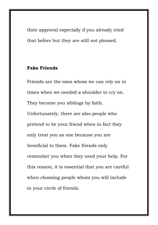their approval especially if you already tried that before but they are still not pleased.

# **Fake Friends**

Friends are the ones whom we can rely on in times when we needed a shoulder to cry on. They become you siblings by faith. Unfortunately, there are also people who pretend to be your friend when in fact they only treat you as one because you are beneficial to them. Fake friends only remember you when they need your help. For this reason, it is essential that you are careful when choosing people whom you will include in your circle of friends.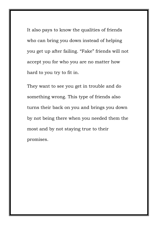It also pays to know the qualities of friends who can bring you down instead of helping you get up after failing. "Fake" friends will not accept you for who you are no matter how hard to you try to fit in.

They want to see you get in trouble and do something wrong. This type of friends also turns their back on you and brings you down by not being there when you needed them the most and by not staying true to their promises.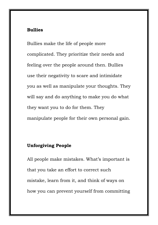#### **Bullies**

Bullies make the life of people more complicated. They prioritize their needs and feeling over the people around then. Bullies use their negativity to scare and intimidate you as well as manipulate your thoughts. They will say and do anything to make you do what they want you to do for them. They manipulate people for their own personal gain.

# **Unforgiving People**

All people make mistakes. What's important is that you take an effort to correct such mistake, learn from it, and think of ways on how you can prevent yourself from committing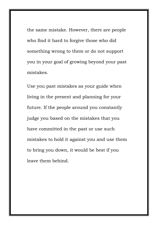the same mistake. However, there are people who find it hard to forgive those who did something wrong to them or do not support you in your goal of growing beyond your past mistakes.

Use you past mistakes as your guide when living in the present and planning for your future. If the people around you constantly judge you based on the mistakes that you have committed in the past or use such mistakes to hold it against you and use them to bring you down, it would be best if you leave them behind.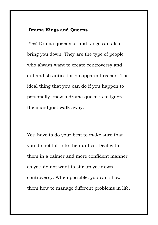#### **Drama Kings and Queens**

Yes! Drama queens or and kings can also bring you down. They are the type of people who always want to create controversy and outlandish antics for no apparent reason. The ideal thing that you can do if you happen to personally know a drama queen is to ignore them and just walk away.

You have to do your best to make sure that you do not fall into their antics. Deal with them in a calmer and more confident manner as you do not want to stir up your own controversy. When possible, you can show them how to manage different problems in life.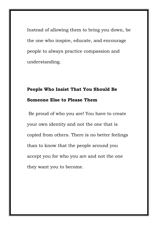Instead of allowing them to bring you down, be the one who inspire, educate, and encourage people to always practice compassion and understanding.

# **People Who Insist That You Should Be Someone Else to Please Them**

Be proud of who you are! You have to create your own identity and not the one that is copied from others. There is no better feelings than to know that the people around you accept you for who you are and not the one they want you to become.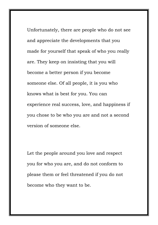Unfortunately, there are people who do not see and appreciate the developments that you made for yourself that speak of who you really are. They keep on insisting that you will become a better person if you become someone else. Of all people, it is you who knows what is best for you. You can experience real success, love, and happiness if you chose to be who you are and not a second version of someone else.

Let the people around you love and respect you for who you are, and do not conform to please them or feel threatened if you do not become who they want to be.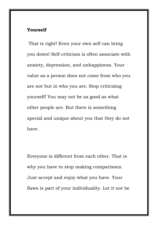# **Yourself**

That is right! Even your own self can bring you down! Self-criticism is often associate with anxiety, depression, and unhappiness. Your value as a person does not come from who you are not but in who you are. Stop criticizing yourself! You may not be as good as what other people are. But there is something special and unique about you that they do not have.

Everyone is different from each other. That is why you have to stop making comparisons. Just accept and enjoy what you have. Your flaws is part of your individuality. Let it not be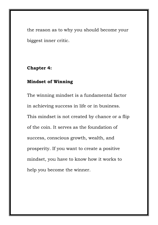the reason as to why you should become your biggest inner critic.

# **Chapter 4:**

# **Mindset of Winning**

The winning mindset is a fundamental factor in achieving success in life or in business. This mindset is not created by chance or a flip of the coin. It serves as the foundation of success, conscious growth, wealth, and prosperity. If you want to create a positive mindset, you have to know how it works to help you become the winner.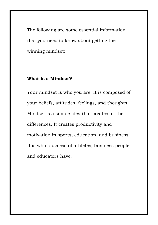The following are some essential information that you need to know about getting the winning mindset:

#### **What is a Mindset?**

Your mindset is who you are. It is composed of your beliefs, attitudes, feelings, and thoughts. Mindset is a simple idea that creates all the differences. It creates productivity and motivation in sports, education, and business. It is what successful athletes, business people, and educators have.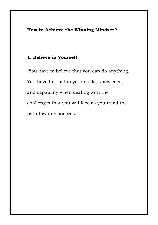# **How to Achieve the Winning Mindset?**

# **1. Believe in Yourself**

You have to believe that you can do anything. You have to trust in your skills, knowledge, and capability when dealing with the challenges that you will face as you tread the path towards success.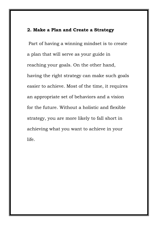# **2. Make a Plan and Create a Strategy**

Part of having a winning mindset is to create a plan that will serve as your guide in reaching your goals. On the other hand, having the right strategy can make such goals easier to achieve. Most of the time, it requires an appropriate set of behaviors and a vision for the future. Without a holistic and flexible strategy, you are more likely to fall short in achieving what you want to achieve in your life.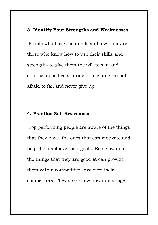#### **3. Identify Your Strengths and Weaknesses**

People who have the mindset of a winner are those who know how to use their skills and strengths to give them the will to win and enforce a positive attitude. They are also not afraid to fail and never give up.

#### **4. Practice Self-Awareness**

Top performing people are aware of the things that they have, the ones that can motivate and help them achieve their goals. Being aware of the things that they are good at can provide them with a competitive edge over their competitors. They also know how to manage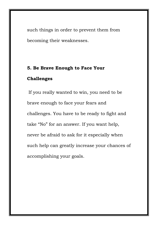such things in order to prevent them from becoming their weaknesses.

# **5. Be Brave Enough to Face Your**

# **Challenges**

If you really wanted to win, you need to be brave enough to face your fears and challenges. You have to be ready to fight and take "No" for an answer. If you want help, never be afraid to ask for it especially when such help can greatly increase your chances of accomplishing your goals.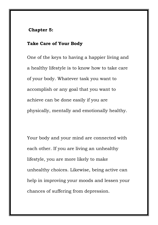#### **Chapter 5:**

# **Take Care of Your Body**

One of the keys to having a happier living and a healthy lifestyle is to know how to take care of your body. Whatever task you want to accomplish or any goal that you want to achieve can be done easily if you are physically, mentally and emotionally healthy.

Your body and your mind are connected with each other. If you are living an unhealthy lifestyle, you are more likely to make unhealthy choices. Likewise, being active can help in improving your moods and lessen your chances of suffering from depression.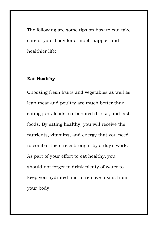The following are some tips on how to can take care of your body for a much happier and healthier life:

# **Eat Healthy**

Choosing fresh fruits and vegetables as well as lean meat and poultry are much better than eating junk foods, carbonated drinks, and fast foods. By eating healthy, you will receive the nutrients, vitamins, and energy that you need to combat the stress brought by a day's work. As part of your effort to eat healthy, you should not forget to drink plenty of water to keep you hydrated and to remove toxins from your body.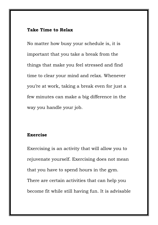#### **Take Time to Relax**

No matter how busy your schedule is, it is important that you take a break from the things that make you feel stressed and find time to clear your mind and relax. Whenever you're at work, taking a break even for just a few minutes can make a big difference in the way you handle your job.

# **Exercise**

Exercising is an activity that will allow you to rejuvenate yourself. Exercising does not mean that you have to spend hours in the gym. There are certain activities that can help you become fit while still having fun. It is advisable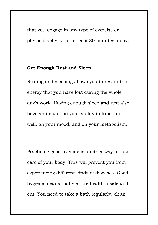that you engage in any type of exercise or physical activity for at least 30 minutes a day.

# **Get Enough Rest and Sleep**

Resting and sleeping allows you to regain the energy that you have lost during the whole day's work. Having enough sleep and rest also have an impact on your ability to function well, on your mood, and on your metabolism.

Practicing good hygiene is another way to take care of your body. This will prevent you from experiencing different kinds of diseases. Good hygiene means that you are health inside and out. You need to take a bath regularly, clean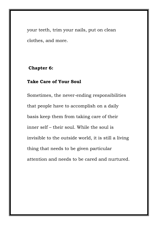your teeth, trim your nails, put on clean clothes, and more.

# **Chapter 6:**

# **Take Care of Your Soul**

Sometimes, the never-ending responsibilities that people have to accomplish on a daily basis keep them from taking care of their inner self – their soul. While the soul is invisible to the outside world, it is still a living thing that needs to be given particular attention and needs to be cared and nurtured.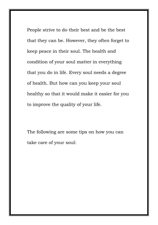People strive to do their best and be the best that they can be. However, they often forget to keep peace in their soul. The health and condition of your soul matter in everything that you do in life. Every soul needs a degree of health. But how can you keep your soul healthy so that it would make it easier for you to improve the quality of your life.

The following are some tips on how you can take care of your soul: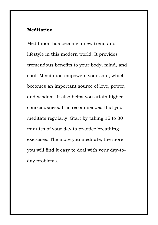#### **Meditation**

Meditation has become a new trend and lifestyle in this modern world. It provides tremendous benefits to your body, mind, and soul. Meditation empowers your soul, which becomes an important source of love, power, and wisdom. It also helps you attain higher consciousness. It is recommended that you meditate regularly. Start by taking 15 to 30 minutes of your day to practice breathing exercises. The more you meditate, the more you will find it easy to deal with your day-today problems.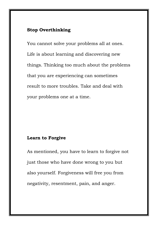# **Stop Overthinking**

You cannot solve your problems all at ones. Life is about learning and discovering new things. Thinking too much about the problems that you are experiencing can sometimes result to more troubles. Take and deal with your problems one at a time.

#### **Learn to Forgive**

As mentioned, you have to learn to forgive not just those who have done wrong to you but also yourself. Forgiveness will free you from negativity, resentment, pain, and anger.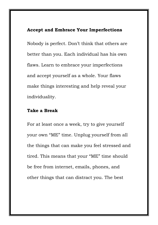# **Accept and Embrace Your Imperfections**

Nobody is perfect. Don't think that others are better than you. Each individual has his own flaws. Learn to embrace your imperfections and accept yourself as a whole. Your flaws make things interesting and help reveal your individuality.

# **Take a Break**

For at least once a week, try to give yourself your own "ME" time. Unplug yourself from all the things that can make you feel stressed and tired. This means that your "ME" time should be free from internet, emails, phones, and other things that can distract you. The best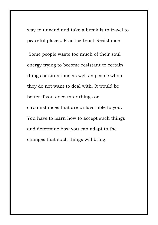way to unwind and take a break is to travel to peaceful places. Practice Least-Resistance

Some people waste too much of their soul energy trying to become resistant to certain things or situations as well as people whom they do not want to deal with. It would be better if you encounter things or circumstances that are unfavorable to you. You have to learn how to accept such things and determine how you can adapt to the changes that such things will bring.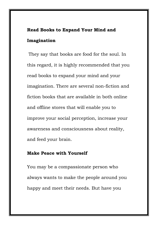# **Read Books to Expand Your Mind and Imagination**

They say that books are food for the soul. In this regard, it is highly recommended that you read books to expand your mind and your imagination. There are several non-fiction and fiction books that are available in both online and offline stores that will enable you to improve your social perception, increase your awareness and consciousness about reality, and feed your brain.

#### **Make Peace with Yourself**

You may be a compassionate person who always wants to make the people around you happy and meet their needs. But have you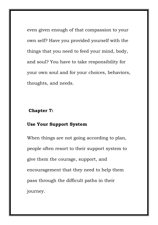even given enough of that compassion to your own self? Have you provided yourself with the things that you need to feed your mind, body, and soul? You have to take responsibility for your own soul and for your choices, behaviors, thoughts, and needs.

#### **Chapter 7:**

#### **Use Your Support System**

When things are not going according to plan, people often resort to their support system to give them the courage, support, and encouragement that they need to help them pass through the difficult paths in their journey.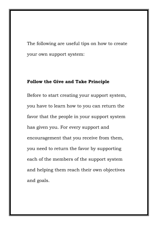The following are useful tips on how to create your own support system:

# **Follow the Give and Take Principle**

Before to start creating your support system, you have to learn how to you can return the favor that the people in your support system has given you. For every support and encouragement that you receive from them, you need to return the favor by supporting each of the members of the support system and helping them reach their own objectives and goals.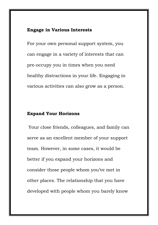#### **Engage in Various Interests**

For your own personal support system, you can engage in a variety of interests that can pre-occupy you in times when you need healthy distractions in your life. Engaging in various activities can also grow as a person.

#### **Expand Your Horizons**

Your close friends, colleagues, and family can serve as an excellent member of your support team. However, in some cases, it would be better if you expand your horizons and consider those people whom you've met in other places. The relationship that you have developed with people whom you barely know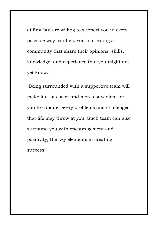at first but are willing to support you in every possible way can help you in creating a community that share their opinions, skills, knowledge, and experience that you might not yet know.

Being surrounded with a supportive team will make it a lot easier and more convenient for you to conquer every problems and challenges that life may throw at you. Such team can also surround you with encouragement and positivity, the key elements in creating success.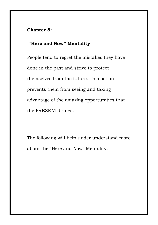# **Chapter 8:**

# **"Here and Now" Mentality**

People tend to regret the mistakes they have done in the past and strive to protect themselves from the future. This action prevents them from seeing and taking advantage of the amazing opportunities that the PRESENT brings.

The following will help under understand more about the "Here and Now" Mentality: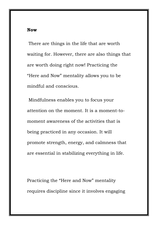#### **Now**

There are things in the life that are worth waiting for. However, there are also things that are worth doing right now! Practicing the "Here and Now" mentality allows you to be mindful and conscious.

Mindfulness enables you to focus your attention on the moment. It is a moment-tomoment awareness of the activities that is being practiced in any occasion. It will promote strength, energy, and calmness that are essential in stabilizing everything in life.

Practicing the "Here and Now" mentality requires discipline since it involves engaging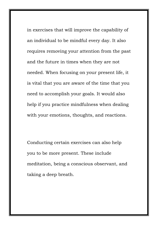in exercises that will improve the capability of an individual to be mindful every day. It also requires removing your attention from the past and the future in times when they are not needed. When focusing on your present life, it is vital that you are aware of the time that you need to accomplish your goals. It would also help if you practice mindfulness when dealing with your emotions, thoughts, and reactions.

Conducting certain exercises can also help you to be more present. These include meditation, being a conscious observant, and taking a deep breath.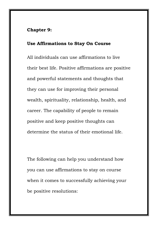#### **Chapter 9:**

## **Use Affirmations to Stay On Course**

All individuals can use affirmations to live their best life. Positive affirmations are positive and powerful statements and thoughts that they can use for improving their personal wealth, spirituality, relationship, health, and career. The capability of people to remain positive and keep positive thoughts can determine the status of their emotional life.

The following can help you understand how you can use affirmations to stay on course when it comes to successfully achieving your be positive resolutions: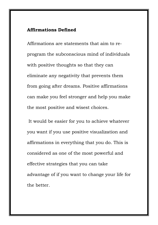#### **Affirmations Defined**

Affirmations are statements that aim to reprogram the subconscious mind of individuals with positive thoughts so that they can eliminate any negativity that prevents them from going after dreams. Positive affirmations can make you feel stronger and help you make the most positive and wisest choices.

It would be easier for you to achieve whatever you want if you use positive visualization and affirmations in everything that you do. This is considered as one of the most powerful and effective strategies that you can take advantage of if you want to change your life for the better.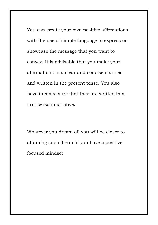You can create your own positive affirmations with the use of simple language to express or showcase the message that you want to convey. It is advisable that you make your affirmations in a clear and concise manner and written in the present tense. You also have to make sure that they are written in a first person narrative.

Whatever you dream of, you will be closer to attaining such dream if you have a positive focused mindset.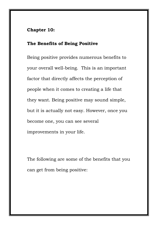## **Chapter 10:**

# **The Benefits of Being Positive**

Being positive provides numerous benefits to your overall well-being. This is an important factor that directly affects the perception of people when it comes to creating a life that they want. Being positive may sound simple, but it is actually not easy. However, once you become one, you can see several improvements in your life.

The following are some of the benefits that you can get from being positive: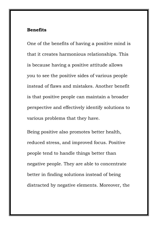#### **Benefits**

One of the benefits of having a positive mind is that it creates harmonious relationships. This is because having a positive attitude allows you to see the positive sides of various people instead of flaws and mistakes. Another benefit is that positive people can maintain a broader perspective and effectively identify solutions to various problems that they have.

Being positive also promotes better health, reduced stress, and improved focus. Positive people tend to handle things better than negative people. They are able to concentrate better in finding solutions instead of being distracted by negative elements. Moreover, the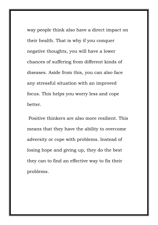way people think also have a direct impact on their health. That is why if you conquer negative thoughts, you will have a lower chances of suffering from different kinds of diseases. Aside from this, you can also face any stressful situation with an improved focus. This helps you worry less and cope better.

Positive thinkers are also more resilient. This means that they have the ability to overcome adversity or cope with problems. Instead of losing hope and giving up, they do the best they can to find an effective way to fix their problems.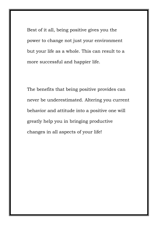Best of it all, being positive gives you the power to change not just your environment but your life as a whole. This can result to a more successful and happier life.

The benefits that being positive provides can never be underestimated. Altering you current behavior and attitude into a positive one will greatly help you in bringing productive changes in all aspects of your life!